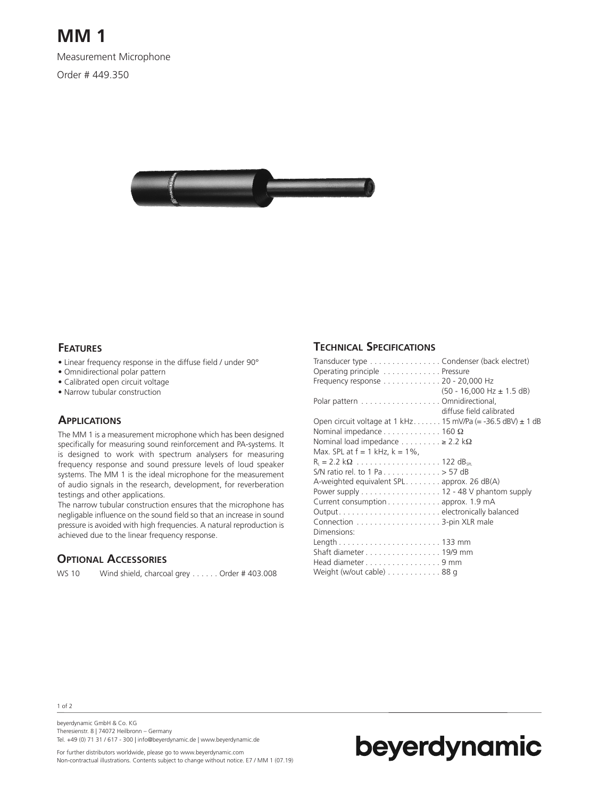## **MM 1**

Measurement Microphone

Order # 449.350



#### **FEATURES**

- Linear frequency response in the diffuse field / under 90°
- Omnidirectional polar pattern
- Calibrated open circuit voltage
- Narrow tubular construction

#### **APPLICATIONS**

The MM 1 is a measurement microphone which has been designed specifically for measuring sound reinforcement and PA-systems. It is designed to work with spectrum analysers for measuring frequency response and sound pressure levels of loud speaker systems. The MM 1 is the ideal microphone for the measurement of audio signals in the research, development, for reverberation testings and other applications.

The narrow tubular construction ensures that the microphone has negligable influence on the sound field so that an increase in sound pressure is avoided with high frequencies. A natural reproduction is achieved due to the linear frequency response.

#### **OPTIONAL ACCESSORIES**

WS 10 Wind shield, charcoal grey . . . . . . Order # 403.008

### **TECHNICAL SPECIFICATIONS**

| Transducer type Condenser (back electret)                                                   |
|---------------------------------------------------------------------------------------------|
| Operating principle Pressure                                                                |
| Frequency response 20 - 20,000 Hz                                                           |
| $(50 - 16,000 Hz \pm 1.5 dB)$<br>Polar pattern Omnidirectional,<br>diffuse field calibrated |
| Open circuit voltage at 1 kHz 15 mV/Pa (= -36.5 dBV) $\pm$ 1 dB                             |
| Nominal impedance $\dots \dots \dots \dots \dots$ 160 $\Omega$                              |
| Nominal load impedance $\dots \dots \dots \ge 2.2$ kΩ                                       |
| Max. SPL at $f = 1$ kHz, $k = 1\%$ ,                                                        |
|                                                                                             |
| S/N ratio rel. to 1 Pa 57 dB                                                                |
| A-weighted equivalent SPL approx. 26 $dB(A)$                                                |
| Power supply $\dots\dots\dots\dots\dots\dots$ 12 - 48 V phantom supply                      |
| Current consumption approx. 1.9 mA                                                          |
|                                                                                             |
|                                                                                             |
| Dimensions:                                                                                 |
|                                                                                             |
| Shaft diameter 19/9 mm                                                                      |
| Head diameter9 mm                                                                           |
| Weight (w/out cable) 88 g                                                                   |

1 of 2

beyerdynamic GmbH & Co. KG Theresienstr. 8 | 74072 Heilbronn – Germany Tel. +49 (0) 71 31 / 617 - 300 | info@beyerdynamic.de | www.beyerdynamic.de



For further distributors worldwide, please go to www.beyerdynamic.com Non-contractual illustrations. Contents subject to change without notice. E7 / MM 1 (07.19)